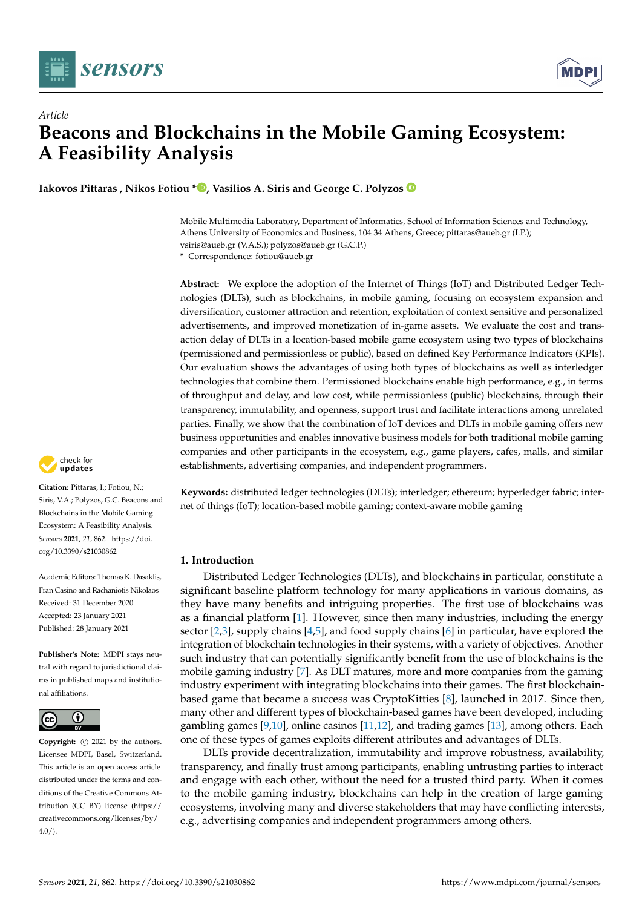

*Article*



# **Beacons and Blockchains in the Mobile Gaming Ecosystem: A Feasibility Analysis**

**Iakovos Pittaras , Nikos Fotiou \* [,](https://orcid.org/0000-0001-9100-1081) Vasilios A. Siris and George C. Polyzos**

Mobile Multimedia Laboratory, Department of Informatics, School of Information Sciences and Technology, Athens University of Economics and Business, 104 34 Athens, Greece; pittaras@aueb.gr (I.P.); vsiris@aueb.gr (V.A.S.); polyzos@aueb.gr (G.C.P.)

**\*** Correspondence: fotiou@aueb.gr

**Abstract:** We explore the adoption of the Internet of Things (IoT) and Distributed Ledger Technologies (DLTs), such as blockchains, in mobile gaming, focusing on ecosystem expansion and diversification, customer attraction and retention, exploitation of context sensitive and personalized advertisements, and improved monetization of in-game assets. We evaluate the cost and transaction delay of DLTs in a location-based mobile game ecosystem using two types of blockchains (permissioned and permissionless or public), based on defined Key Performance Indicators (KPIs). Our evaluation shows the advantages of using both types of blockchains as well as interledger technologies that combine them. Permissioned blockchains enable high performance, e.g., in terms of throughput and delay, and low cost, while permissionless (public) blockchains, through their transparency, immutability, and openness, support trust and facilitate interactions among unrelated parties. Finally, we show that the combination of IoT devices and DLTs in mobile gaming offers new business opportunities and enables innovative business models for both traditional mobile gaming companies and other participants in the ecosystem, e.g., game players, cafes, malls, and similar establishments, advertising companies, and independent programmers.

**Keywords:** distributed ledger technologies (DLTs); interledger; ethereum; hyperledger fabric; internet of things (IoT); location-based mobile gaming; context-aware mobile gaming

# **1. Introduction**

Distributed Ledger Technologies (DLTs), and blockchains in particular, constitute a significant baseline platform technology for many applications in various domains, as they have many benefits and intriguing properties. The first use of blockchains was as a financial platform [\[1\]](#page-16-0). However, since then many industries, including the energy sector  $[2,3]$  $[2,3]$ , supply chains  $[4,5]$  $[4,5]$ , and food supply chains  $[6]$  in particular, have explored the integration of blockchain technologies in their systems, with a variety of objectives. Another such industry that can potentially significantly benefit from the use of blockchains is the mobile gaming industry [\[7\]](#page-16-6). As DLT matures, more and more companies from the gaming industry experiment with integrating blockchains into their games. The first blockchainbased game that became a success was CryptoKitties [\[8\]](#page-16-7), launched in 2017. Since then, many other and different types of blockchain-based games have been developed, including gambling games  $[9,10]$  $[9,10]$ , online casinos  $[11,12]$  $[11,12]$ , and trading games  $[13]$ , among others. Each one of these types of games exploits different attributes and advantages of DLTs.

DLTs provide decentralization, immutability and improve robustness, availability, transparency, and finally trust among participants, enabling untrusting parties to interact and engage with each other, without the need for a trusted third party. When it comes to the mobile gaming industry, blockchains can help in the creation of large gaming ecosystems, involving many and diverse stakeholders that may have conflicting interests, e.g., advertising companies and independent programmers among others.



**Citation:** Pittaras, I.; Fotiou, N.; Siris, V.A.; Polyzos, G.C. Beacons and Blockchains in the Mobile Gaming Ecosystem: A Feasibility Analysis. *Sensors* **2021**, *21*, 862. [https://doi.](https://doi.org/10.3390/s21030862) [org/10.3390/s21030862](https://doi.org/10.3390/s21030862)

Academic Editors: Thomas K. Dasaklis, Fran Casino and Rachaniotis Nikolaos Received: 31 December 2020 Accepted: 23 January 2021 Published: 28 January 2021

**Publisher's Note:** MDPI stays neutral with regard to jurisdictional claims in published maps and institutional affiliations.



**Copyright:**  $\odot$  2021 by the authors. Licensee MDPI, Basel, Switzerland. This article is an open access article distributed under the terms and conditions of the Creative Commons Attribution (CC BY) license [\(https://](https://creativecommons.org/licenses/by/4.0/) [creativecommons.org/licenses/by/](https://creativecommons.org/licenses/by/4.0/)  $4.0/$ ).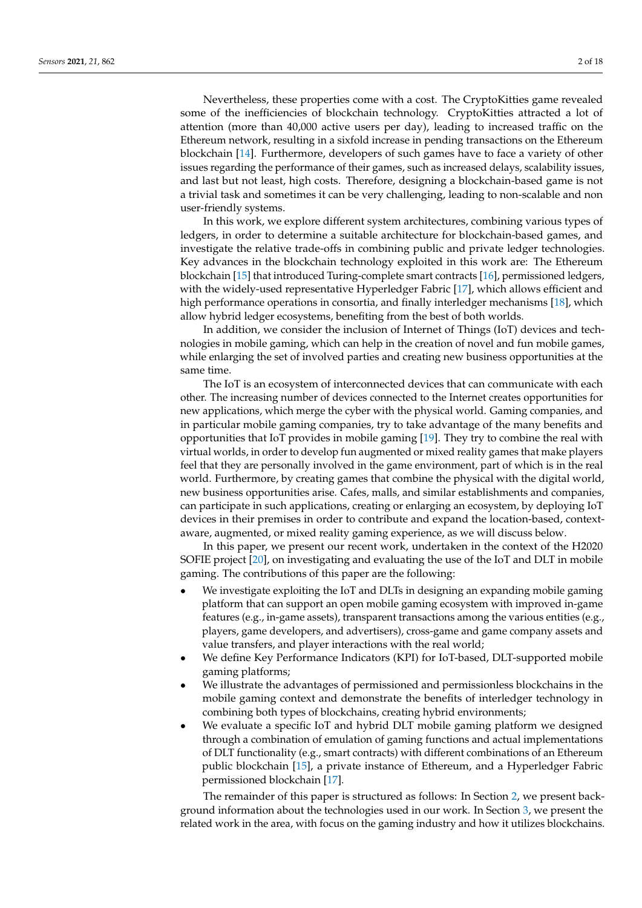Nevertheless, these properties come with a cost. The CryptoKitties game revealed some of the inefficiencies of blockchain technology. CryptoKitties attracted a lot of attention (more than 40,000 active users per day), leading to increased traffic on the Ethereum network, resulting in a sixfold increase in pending transactions on the Ethereum blockchain [\[14\]](#page-16-13). Furthermore, developers of such games have to face a variety of other issues regarding the performance of their games, such as increased delays, scalability issues, and last but not least, high costs. Therefore, designing a blockchain-based game is not a trivial task and sometimes it can be very challenging, leading to non-scalable and non user-friendly systems.

In this work, we explore different system architectures, combining various types of ledgers, in order to determine a suitable architecture for blockchain-based games, and investigate the relative trade-offs in combining public and private ledger technologies. Key advances in the blockchain technology exploited in this work are: The Ethereum blockchain [\[15\]](#page-16-14) that introduced Turing-complete smart contracts [\[16\]](#page-16-15), permissioned ledgers, with the widely-used representative Hyperledger Fabric [\[17\]](#page-16-16), which allows efficient and high performance operations in consortia, and finally interledger mechanisms [\[18\]](#page-16-17), which allow hybrid ledger ecosystems, benefiting from the best of both worlds.

In addition, we consider the inclusion of Internet of Things (IoT) devices and technologies in mobile gaming, which can help in the creation of novel and fun mobile games, while enlarging the set of involved parties and creating new business opportunities at the same time.

The IoT is an ecosystem of interconnected devices that can communicate with each other. The increasing number of devices connected to the Internet creates opportunities for new applications, which merge the cyber with the physical world. Gaming companies, and in particular mobile gaming companies, try to take advantage of the many benefits and opportunities that IoT provides in mobile gaming [\[19\]](#page-16-18). They try to combine the real with virtual worlds, in order to develop fun augmented or mixed reality games that make players feel that they are personally involved in the game environment, part of which is in the real world. Furthermore, by creating games that combine the physical with the digital world, new business opportunities arise. Cafes, malls, and similar establishments and companies, can participate in such applications, creating or enlarging an ecosystem, by deploying IoT devices in their premises in order to contribute and expand the location-based, contextaware, augmented, or mixed reality gaming experience, as we will discuss below.

In this paper, we present our recent work, undertaken in the context of the H2020 SOFIE project [\[20\]](#page-17-0), on investigating and evaluating the use of the IoT and DLT in mobile gaming. The contributions of this paper are the following:

- We investigate exploiting the IoT and DLTs in designing an expanding mobile gaming platform that can support an open mobile gaming ecosystem with improved in-game features (e.g., in-game assets), transparent transactions among the various entities (e.g., players, game developers, and advertisers), cross-game and game company assets and value transfers, and player interactions with the real world;
- We define Key Performance Indicators (KPI) for IoT-based, DLT-supported mobile gaming platforms;
- We illustrate the advantages of permissioned and permissionless blockchains in the mobile gaming context and demonstrate the benefits of interledger technology in combining both types of blockchains, creating hybrid environments;
- We evaluate a specific IoT and hybrid DLT mobile gaming platform we designed through a combination of emulation of gaming functions and actual implementations of DLT functionality (e.g., smart contracts) with different combinations of an Ethereum public blockchain [\[15\]](#page-16-14), a private instance of Ethereum, and a Hyperledger Fabric permissioned blockchain [\[17\]](#page-16-16).

The remainder of this paper is structured as follows: In Section [2,](#page-2-0) we present background information about the technologies used in our work. In Section [3,](#page-2-1) we present the related work in the area, with focus on the gaming industry and how it utilizes blockchains.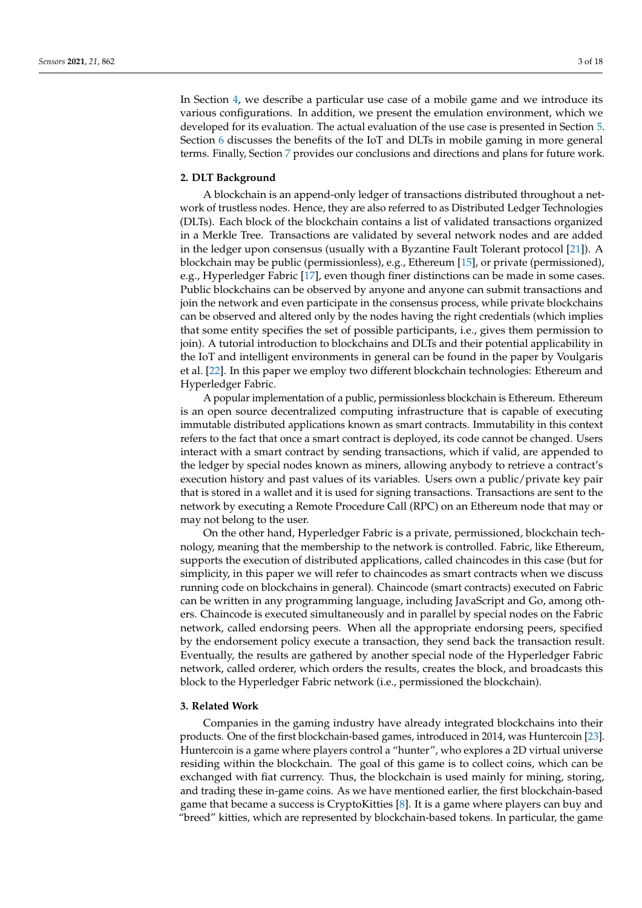In Section [4,](#page-4-0) we describe a particular use case of a mobile game and we introduce its various configurations. In addition, we present the emulation environment, which we developed for its evaluation. The actual evaluation of the use case is presented in Section [5.](#page-8-0) Section [6](#page-13-0) discusses the benefits of the IoT and DLTs in mobile gaming in more general terms. Finally, Section [7](#page-15-0) provides our conclusions and directions and plans for future work.

## <span id="page-2-0"></span>**2. DLT Background**

A blockchain is an append-only ledger of transactions distributed throughout a network of trustless nodes. Hence, they are also referred to as Distributed Ledger Technologies (DLTs). Each block of the blockchain contains a list of validated transactions organized in a Merkle Tree. Transactions are validated by several network nodes and are added in the ledger upon consensus (usually with a Byzantine Fault Tolerant protocol [\[21\]](#page-17-1)). A blockchain may be public (permissionless), e.g., Ethereum [\[15\]](#page-16-14), or private (permissioned), e.g., Hyperledger Fabric [\[17\]](#page-16-16), even though finer distinctions can be made in some cases. Public blockchains can be observed by anyone and anyone can submit transactions and join the network and even participate in the consensus process, while private blockchains can be observed and altered only by the nodes having the right credentials (which implies that some entity specifies the set of possible participants, i.e., gives them permission to join). A tutorial introduction to blockchains and DLTs and their potential applicability in the IoT and intelligent environments in general can be found in the paper by Voulgaris et al. [\[22\]](#page-17-2). In this paper we employ two different blockchain technologies: Ethereum and Hyperledger Fabric.

A popular implementation of a public, permissionless blockchain is Ethereum. Ethereum is an open source decentralized computing infrastructure that is capable of executing immutable distributed applications known as smart contracts. Immutability in this context refers to the fact that once a smart contract is deployed, its code cannot be changed. Users interact with a smart contract by sending transactions, which if valid, are appended to the ledger by special nodes known as miners, allowing anybody to retrieve a contract's execution history and past values of its variables. Users own a public/private key pair that is stored in a wallet and it is used for signing transactions. Transactions are sent to the network by executing a Remote Procedure Call (RPC) on an Ethereum node that may or may not belong to the user.

On the other hand, Hyperledger Fabric is a private, permissioned, blockchain technology, meaning that the membership to the network is controlled. Fabric, like Ethereum, supports the execution of distributed applications, called chaincodes in this case (but for simplicity, in this paper we will refer to chaincodes as smart contracts when we discuss running code on blockchains in general). Chaincode (smart contracts) executed on Fabric can be written in any programming language, including JavaScript and Go, among others. Chaincode is executed simultaneously and in parallel by special nodes on the Fabric network, called endorsing peers. When all the appropriate endorsing peers, specified by the endorsement policy execute a transaction, they send back the transaction result. Eventually, the results are gathered by another special node of the Hyperledger Fabric network, called orderer, which orders the results, creates the block, and broadcasts this block to the Hyperledger Fabric network (i.e., permissioned the blockchain).

# <span id="page-2-1"></span>**3. Related Work**

Companies in the gaming industry have already integrated blockchains into their products. One of the first blockchain-based games, introduced in 2014, was Huntercoin [\[23\]](#page-17-3). Huntercoin is a game where players control a "hunter", who explores a 2D virtual universe residing within the blockchain. The goal of this game is to collect coins, which can be exchanged with fiat currency. Thus, the blockchain is used mainly for mining, storing, and trading these in-game coins. As we have mentioned earlier, the first blockchain-based game that became a success is CryptoKitties [\[8\]](#page-16-7). It is a game where players can buy and "breed" kitties, which are represented by blockchain-based tokens. In particular, the game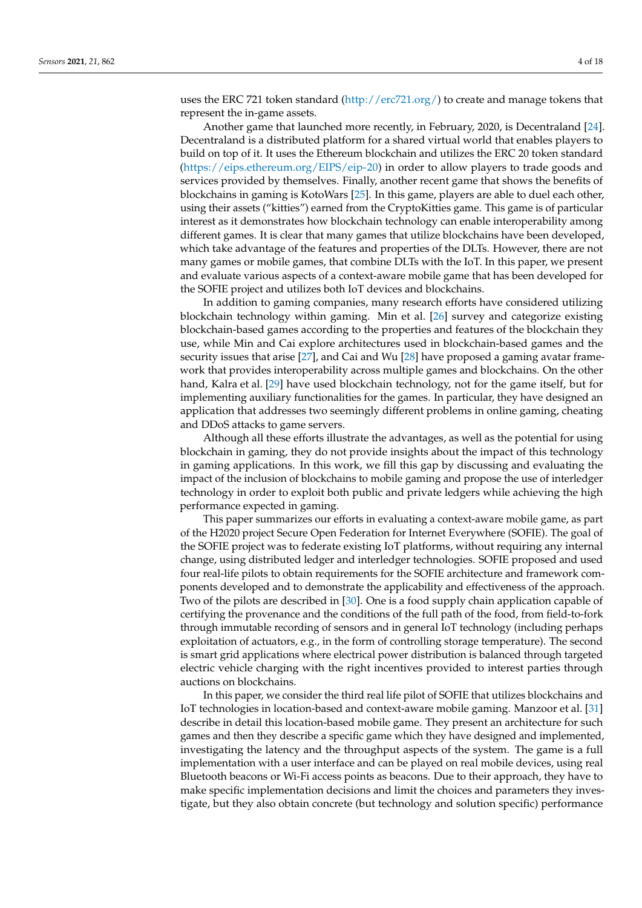uses the ERC 721 token standard [\(http://erc721.org/\)](http://erc721.org/) to create and manage tokens that represent the in-game assets.

Another game that launched more recently, in February, 2020, is Decentraland [\[24\]](#page-17-4). Decentraland is a distributed platform for a shared virtual world that enables players to build on top of it. It uses the Ethereum blockchain and utilizes the ERC 20 token standard [\(https://eips.ethereum.org/EIPS/eip-20\)](https://eips.ethereum.org/EIPS/eip-20) in order to allow players to trade goods and services provided by themselves. Finally, another recent game that shows the benefits of blockchains in gaming is KotoWars [\[25\]](#page-17-5). In this game, players are able to duel each other, using their assets ("kitties") earned from the CryptoKitties game. This game is of particular interest as it demonstrates how blockchain technology can enable interoperability among different games. It is clear that many games that utilize blockchains have been developed, which take advantage of the features and properties of the DLTs. However, there are not many games or mobile games, that combine DLTs with the IoT. In this paper, we present and evaluate various aspects of a context-aware mobile game that has been developed for the SOFIE project and utilizes both IoT devices and blockchains.

In addition to gaming companies, many research efforts have considered utilizing blockchain technology within gaming. Min et al. [\[26\]](#page-17-6) survey and categorize existing blockchain-based games according to the properties and features of the blockchain they use, while Min and Cai explore architectures used in blockchain-based games and the security issues that arise [\[27\]](#page-17-7), and Cai and Wu [\[28\]](#page-17-8) have proposed a gaming avatar framework that provides interoperability across multiple games and blockchains. On the other hand, Kalra et al. [\[29\]](#page-17-9) have used blockchain technology, not for the game itself, but for implementing auxiliary functionalities for the games. In particular, they have designed an application that addresses two seemingly different problems in online gaming, cheating and DDoS attacks to game servers.

Although all these efforts illustrate the advantages, as well as the potential for using blockchain in gaming, they do not provide insights about the impact of this technology in gaming applications. In this work, we fill this gap by discussing and evaluating the impact of the inclusion of blockchains to mobile gaming and propose the use of interledger technology in order to exploit both public and private ledgers while achieving the high performance expected in gaming.

This paper summarizes our efforts in evaluating a context-aware mobile game, as part of the H2020 project Secure Open Federation for Internet Everywhere (SOFIE). The goal of the SOFIE project was to federate existing IoT platforms, without requiring any internal change, using distributed ledger and interledger technologies. SOFIE proposed and used four real-life pilots to obtain requirements for the SOFIE architecture and framework components developed and to demonstrate the applicability and effectiveness of the approach. Two of the pilots are described in [\[30\]](#page-17-10). One is a food supply chain application capable of certifying the provenance and the conditions of the full path of the food, from field-to-fork through immutable recording of sensors and in general IoT technology (including perhaps exploitation of actuators, e.g., in the form of controlling storage temperature). The second is smart grid applications where electrical power distribution is balanced through targeted electric vehicle charging with the right incentives provided to interest parties through auctions on blockchains.

In this paper, we consider the third real life pilot of SOFIE that utilizes blockchains and IoT technologies in location-based and context-aware mobile gaming. Manzoor et al. [\[31\]](#page-17-11) describe in detail this location-based mobile game. They present an architecture for such games and then they describe a specific game which they have designed and implemented, investigating the latency and the throughput aspects of the system. The game is a full implementation with a user interface and can be played on real mobile devices, using real Bluetooth beacons or Wi-Fi access points as beacons. Due to their approach, they have to make specific implementation decisions and limit the choices and parameters they investigate, but they also obtain concrete (but technology and solution specific) performance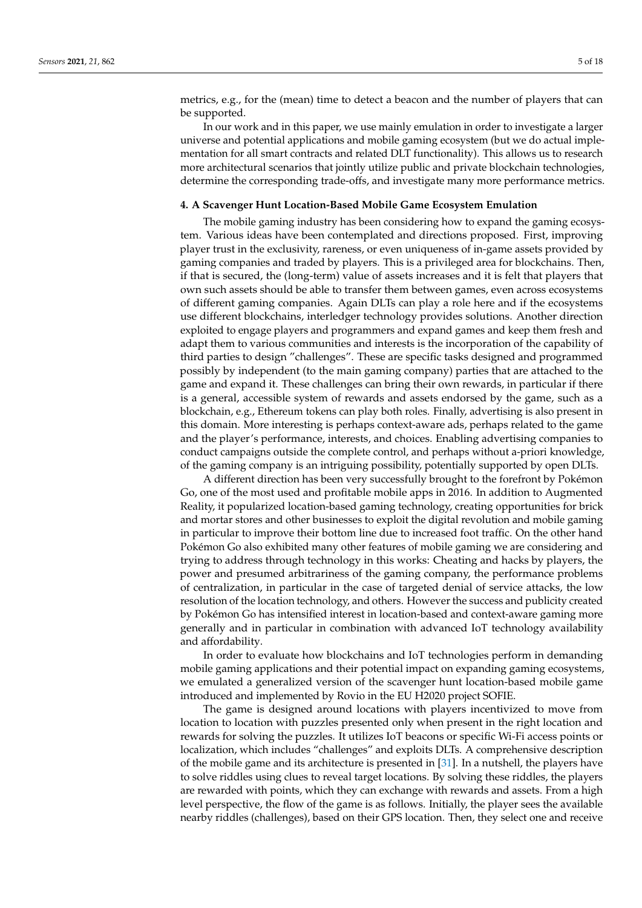metrics, e.g., for the (mean) time to detect a beacon and the number of players that can be supported.

In our work and in this paper, we use mainly emulation in order to investigate a larger universe and potential applications and mobile gaming ecosystem (but we do actual implementation for all smart contracts and related DLT functionality). This allows us to research more architectural scenarios that jointly utilize public and private blockchain technologies, determine the corresponding trade-offs, and investigate many more performance metrics.

## <span id="page-4-0"></span>**4. A Scavenger Hunt Location-Based Mobile Game Ecosystem Emulation**

The mobile gaming industry has been considering how to expand the gaming ecosystem. Various ideas have been contemplated and directions proposed. First, improving player trust in the exclusivity, rareness, or even uniqueness of in-game assets provided by gaming companies and traded by players. This is a privileged area for blockchains. Then, if that is secured, the (long-term) value of assets increases and it is felt that players that own such assets should be able to transfer them between games, even across ecosystems of different gaming companies. Again DLTs can play a role here and if the ecosystems use different blockchains, interledger technology provides solutions. Another direction exploited to engage players and programmers and expand games and keep them fresh and adapt them to various communities and interests is the incorporation of the capability of third parties to design "challenges". These are specific tasks designed and programmed possibly by independent (to the main gaming company) parties that are attached to the game and expand it. These challenges can bring their own rewards, in particular if there is a general, accessible system of rewards and assets endorsed by the game, such as a blockchain, e.g., Ethereum tokens can play both roles. Finally, advertising is also present in this domain. More interesting is perhaps context-aware ads, perhaps related to the game and the player's performance, interests, and choices. Enabling advertising companies to conduct campaigns outside the complete control, and perhaps without a-priori knowledge, of the gaming company is an intriguing possibility, potentially supported by open DLTs.

A different direction has been very successfully brought to the forefront by Pokémon Go, one of the most used and profitable mobile apps in 2016. In addition to Augmented Reality, it popularized location-based gaming technology, creating opportunities for brick and mortar stores and other businesses to exploit the digital revolution and mobile gaming in particular to improve their bottom line due to increased foot traffic. On the other hand Pokémon Go also exhibited many other features of mobile gaming we are considering and trying to address through technology in this works: Cheating and hacks by players, the power and presumed arbitrariness of the gaming company, the performance problems of centralization, in particular in the case of targeted denial of service attacks, the low resolution of the location technology, and others. However the success and publicity created by Pokémon Go has intensified interest in location-based and context-aware gaming more generally and in particular in combination with advanced IoT technology availability and affordability.

In order to evaluate how blockchains and IoT technologies perform in demanding mobile gaming applications and their potential impact on expanding gaming ecosystems, we emulated a generalized version of the scavenger hunt location-based mobile game introduced and implemented by Rovio in the EU H2020 project SOFIE.

The game is designed around locations with players incentivized to move from location to location with puzzles presented only when present in the right location and rewards for solving the puzzles. It utilizes IoT beacons or specific Wi-Fi access points or localization, which includes "challenges" and exploits DLTs. A comprehensive description of the mobile game and its architecture is presented in [\[31\]](#page-17-11). In a nutshell, the players have to solve riddles using clues to reveal target locations. By solving these riddles, the players are rewarded with points, which they can exchange with rewards and assets. From a high level perspective, the flow of the game is as follows. Initially, the player sees the available nearby riddles (challenges), based on their GPS location. Then, they select one and receive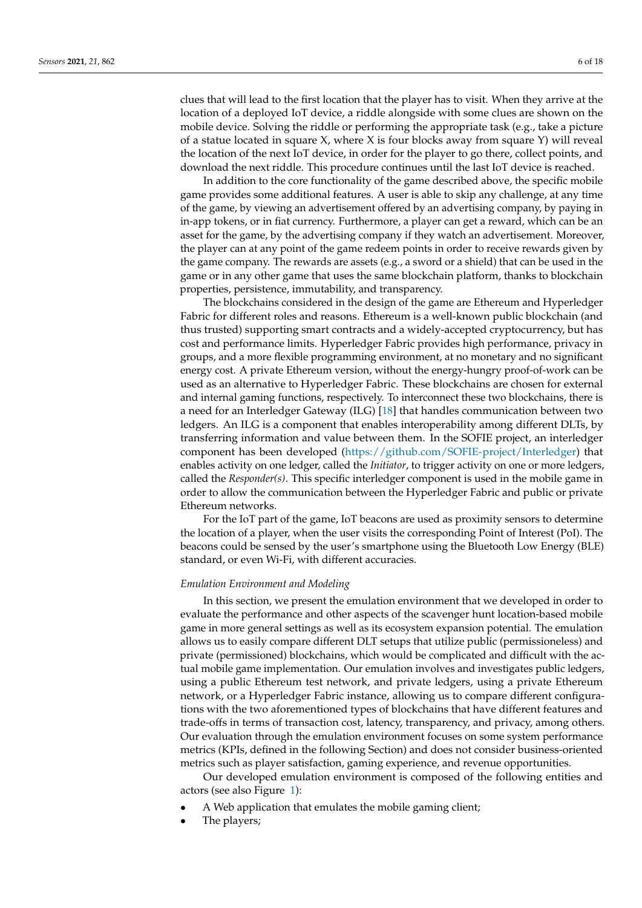clues that will lead to the first location that the player has to visit. When they arrive at the location of a deployed IoT device, a riddle alongside with some clues are shown on the mobile device. Solving the riddle or performing the appropriate task (e.g., take a picture of a statue located in square X, where X is four blocks away from square Y) will reveal the location of the next IoT device, in order for the player to go there, collect points, and download the next riddle. This procedure continues until the last IoT device is reached.

In addition to the core functionality of the game described above, the specific mobile game provides some additional features. A user is able to skip any challenge, at any time of the game, by viewing an advertisement offered by an advertising company, by paying in in-app tokens, or in fiat currency. Furthermore, a player can get a reward, which can be an asset for the game, by the advertising company if they watch an advertisement. Moreover, the player can at any point of the game redeem points in order to receive rewards given by the game company. The rewards are assets (e.g., a sword or a shield) that can be used in the game or in any other game that uses the same blockchain platform, thanks to blockchain properties, persistence, immutability, and transparency.

The blockchains considered in the design of the game are Ethereum and Hyperledger Fabric for different roles and reasons. Ethereum is a well-known public blockchain (and thus trusted) supporting smart contracts and a widely-accepted cryptocurrency, but has cost and performance limits. Hyperledger Fabric provides high performance, privacy in groups, and a more flexible programming environment, at no monetary and no significant energy cost. A private Ethereum version, without the energy-hungry proof-of-work can be used as an alternative to Hyperledger Fabric. These blockchains are chosen for external and internal gaming functions, respectively. To interconnect these two blockchains, there is a need for an Interledger Gateway (ILG) [\[18\]](#page-16-17) that handles communication between two ledgers. An ILG is a component that enables interoperability among different DLTs, by transferring information and value between them. In the SOFIE project, an interledger component has been developed [\(https://github.com/SOFIE-project/Interledger\)](https://github.com/SOFIE-project/Interledger) that enables activity on one ledger, called the *Initiator*, to trigger activity on one or more ledgers, called the *Responder(s)*. This specific interledger component is used in the mobile game in order to allow the communication between the Hyperledger Fabric and public or private Ethereum networks.

For the IoT part of the game, IoT beacons are used as proximity sensors to determine the location of a player, when the user visits the corresponding Point of Interest (PoI). The beacons could be sensed by the user's smartphone using the Bluetooth Low Energy (BLE) standard, or even Wi-Fi, with different accuracies.

#### *Emulation Environment and Modeling*

In this section, we present the emulation environment that we developed in order to evaluate the performance and other aspects of the scavenger hunt location-based mobile game in more general settings as well as its ecosystem expansion potential. The emulation allows us to easily compare different DLT setups that utilize public (permissioneless) and private (permissioned) blockchains, which would be complicated and difficult with the actual mobile game implementation. Our emulation involves and investigates public ledgers, using a public Ethereum test network, and private ledgers, using a private Ethereum network, or a Hyperledger Fabric instance, allowing us to compare different configurations with the two aforementioned types of blockchains that have different features and trade-offs in terms of transaction cost, latency, transparency, and privacy, among others. Our evaluation through the emulation environment focuses on some system performance metrics (KPIs, defined in the following Section) and does not consider business-oriented metrics such as player satisfaction, gaming experience, and revenue opportunities.

Our developed emulation environment is composed of the following entities and actors (see also Figure [1\)](#page-6-0):

- A Web application that emulates the mobile gaming client;
- The players;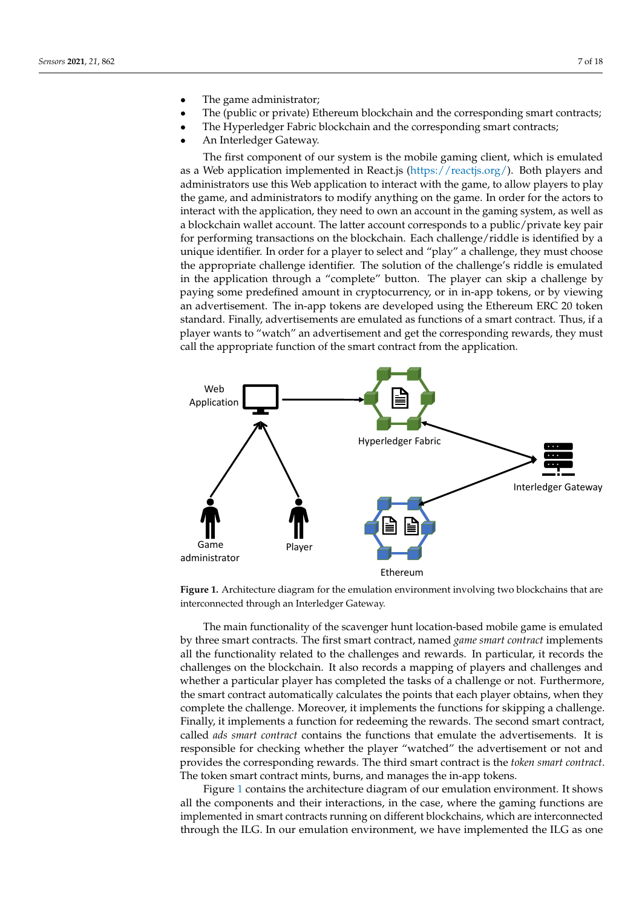- The game administrator;
- The (public or private) Ethereum blockchain and the corresponding smart contracts;
- The Hyperledger Fabric blockchain and the corresponding smart contracts;
- An Interledger Gateway.

The first component of our system is the mobile gaming client, which is emulated as a Web application implemented in React.js [\(https://reactjs.org/\)](https://reactjs.org/). Both players and administrators use this Web application to interact with the game, to allow players to play the game, and administrators to modify anything on the game. In order for the actors to interact with the application, they need to own an account in the gaming system, as well as a blockchain wallet account. The latter account corresponds to a public/private key pair for performing transactions on the blockchain. Each challenge/riddle is identified by a unique identifier. In order for a player to select and "play" a challenge, they must choose the appropriate challenge identifier. The solution of the challenge's riddle is emulated in the application through a "complete" button. The player can skip a challenge by paying some predefined amount in cryptocurrency, or in in-app tokens, or by viewing an advertisement. The in-app tokens are developed using the Ethereum ERC 20 token standard. Finally, advertisements are emulated as functions of a smart contract. Thus, if a player wants to "watch" an advertisement and get the corresponding rewards, they must call the appropriate function of the smart contract from the application.

<span id="page-6-0"></span>

**Figure 1.** Architecture diagram for the emulation environment involving two blockchains that are interconnected through an Interledger Gateway.

The main functionality of the scavenger hunt location-based mobile game is emulated by three smart contracts. The first smart contract, named *game smart contract* implements all the functionality related to the challenges and rewards. In particular, it records the challenges on the blockchain. It also records a mapping of players and challenges and whether a particular player has completed the tasks of a challenge or not. Furthermore, the smart contract automatically calculates the points that each player obtains, when they complete the challenge. Moreover, it implements the functions for skipping a challenge. Finally, it implements a function for redeeming the rewards. The second smart contract, called *ads smart contract* contains the functions that emulate the advertisements. It is responsible for checking whether the player "watched" the advertisement or not and provides the corresponding rewards. The third smart contract is the *token smart contract*. The token smart contract mints, burns, and manages the in-app tokens.

Figure [1](#page-6-0) contains the architecture diagram of our emulation environment. It shows all the components and their interactions, in the case, where the gaming functions are implemented in smart contracts running on different blockchains, which are interconnected through the ILG. In our emulation environment, we have implemented the ILG as one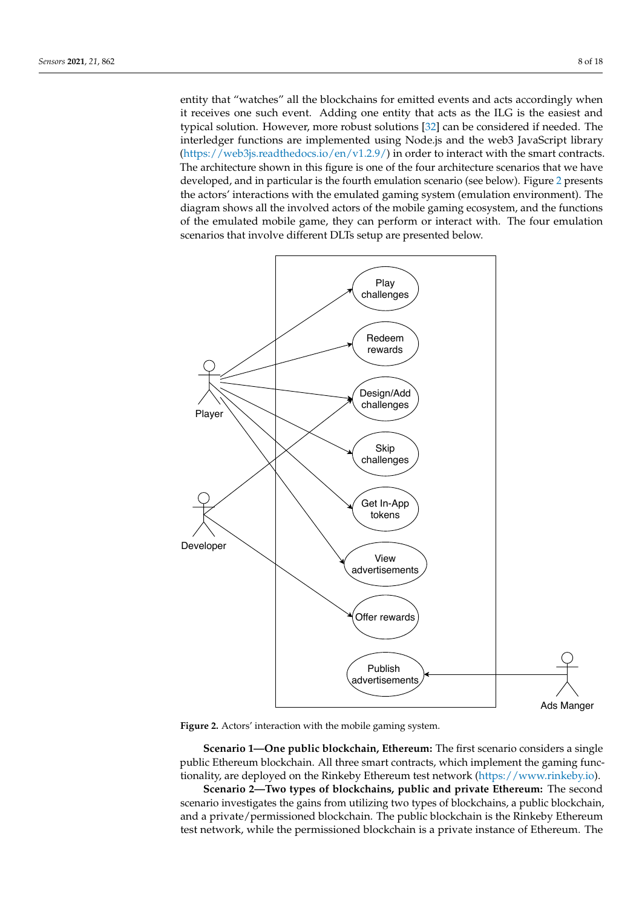entity that "watches" all the blockchains for emitted events and acts accordingly when it receives one such event. Adding one entity that acts as the ILG is the easiest and typical solution. However, more robust solutions [\[32\]](#page-17-12) can be considered if needed. The interledger functions are implemented using Node.js and the web3 JavaScript library [\(https://web3js.readthedocs.io/en/v1.2.9/\)](https://web3js.readthedocs.io/en/v1.2.9/) in order to interact with the smart contracts. The architecture shown in this figure is one of the four architecture scenarios that we have developed, and in particular is the fourth emulation scenario (see below). Figure [2](#page-7-0) presents the actors' interactions with the emulated gaming system (emulation environment). The diagram shows all the involved actors of the mobile gaming ecosystem, and the functions of the emulated mobile game, they can perform or interact with. The four emulation scenarios that involve different DLTs setup are presented below.

<span id="page-7-0"></span>

**Figure 2.** Actors' interaction with the mobile gaming system.

**Scenario 1—One public blockchain, Ethereum:** The first scenario considers a single public Ethereum blockchain. All three smart contracts, which implement the gaming functionality, are deployed on the Rinkeby Ethereum test network [\(https://www.rinkeby.io\)](https://www.rinkeby.io).

**Scenario 2—Two types of blockchains, public and private Ethereum:** The second scenario investigates the gains from utilizing two types of blockchains, a public blockchain, and a private/permissioned blockchain. The public blockchain is the Rinkeby Ethereum test network, while the permissioned blockchain is a private instance of Ethereum. The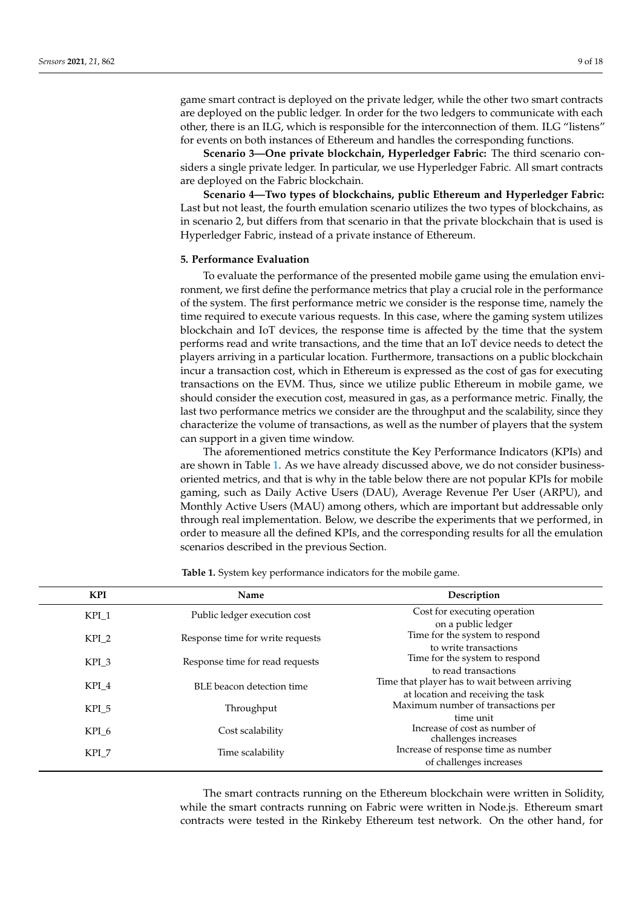game smart contract is deployed on the private ledger, while the other two smart contracts are deployed on the public ledger. In order for the two ledgers to communicate with each other, there is an ILG, which is responsible for the interconnection of them. ILG "listens" for events on both instances of Ethereum and handles the corresponding functions.

**Scenario 3—One private blockchain, Hyperledger Fabric:** The third scenario considers a single private ledger. In particular, we use Hyperledger Fabric. All smart contracts are deployed on the Fabric blockchain.

**Scenario 4—Two types of blockchains, public Ethereum and Hyperledger Fabric:** Last but not least, the fourth emulation scenario utilizes the two types of blockchains, as in scenario 2, but differs from that scenario in that the private blockchain that is used is Hyperledger Fabric, instead of a private instance of Ethereum.

#### <span id="page-8-0"></span>**5. Performance Evaluation**

To evaluate the performance of the presented mobile game using the emulation environment, we first define the performance metrics that play a crucial role in the performance of the system. The first performance metric we consider is the response time, namely the time required to execute various requests. In this case, where the gaming system utilizes blockchain and IoT devices, the response time is affected by the time that the system performs read and write transactions, and the time that an IoT device needs to detect the players arriving in a particular location. Furthermore, transactions on a public blockchain incur a transaction cost, which in Ethereum is expressed as the cost of gas for executing transactions on the EVM. Thus, since we utilize public Ethereum in mobile game, we should consider the execution cost, measured in gas, as a performance metric. Finally, the last two performance metrics we consider are the throughput and the scalability, since they characterize the volume of transactions, as well as the number of players that the system can support in a given time window.

The aforementioned metrics constitute the Key Performance Indicators (KPIs) and are shown in Table [1.](#page-8-1) As we have already discussed above, we do not consider businessoriented metrics, and that is why in the table below there are not popular KPIs for mobile gaming, such as Daily Active Users (DAU), Average Revenue Per User (ARPU), and Monthly Active Users (MAU) among others, which are important but addressable only through real implementation. Below, we describe the experiments that we performed, in order to measure all the defined KPIs, and the corresponding results for all the emulation scenarios described in the previous Section.

<span id="page-8-1"></span>

| <b>KPI</b>       | Name                             | Description                                                              |
|------------------|----------------------------------|--------------------------------------------------------------------------|
| KPI <sub>1</sub> | Public ledger execution cost     | Cost for executing operation                                             |
| $KPI_2$          | Response time for write requests | on a public ledger<br>Time for the system to respond                     |
| KPI_3            | Response time for read requests  | to write transactions<br>Time for the system to respond                  |
| KPI_4            | BLE beacon detection time        | to read transactions<br>Time that player has to wait between arriving    |
| KPI 5            | Throughput                       | at location and receiving the task<br>Maximum number of transactions per |
|                  |                                  | time unit<br>Increase of cost as number of                               |
| KPI_6            | Cost scalability                 | challenges increases                                                     |
| KPI 7            | Time scalability                 | Increase of response time as number<br>of challenges increases           |

**Table 1.** System key performance indicators for the mobile game.

The smart contracts running on the Ethereum blockchain were written in Solidity, while the smart contracts running on Fabric were written in Node.js. Ethereum smart contracts were tested in the Rinkeby Ethereum test network. On the other hand, for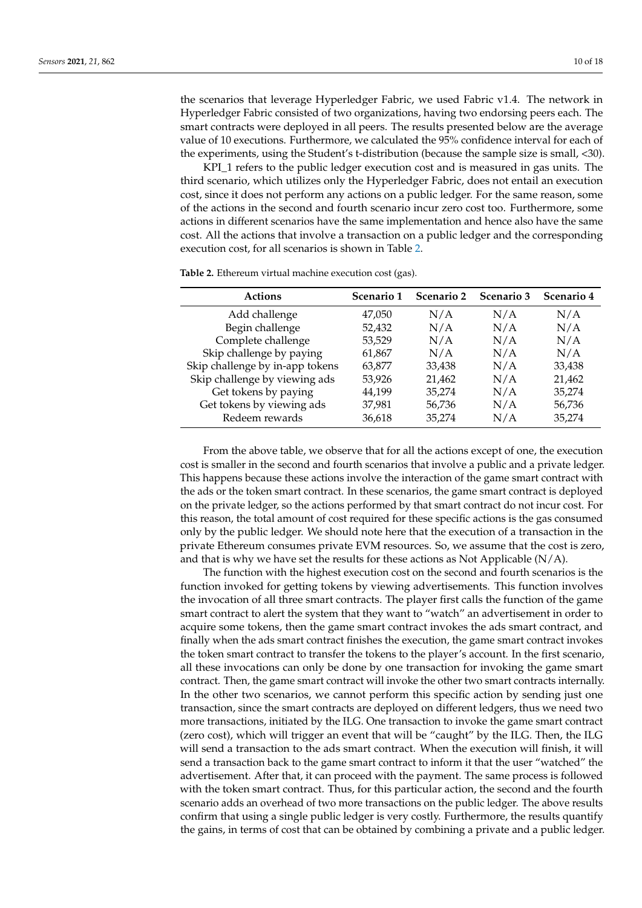the scenarios that leverage Hyperledger Fabric, we used Fabric v1.4. The network in Hyperledger Fabric consisted of two organizations, having two endorsing peers each. The smart contracts were deployed in all peers. The results presented below are the average value of 10 executions. Furthermore, we calculated the 95% confidence interval for each of the experiments, using the Student's t-distribution (because the sample size is small, <30).

KPI\_1 refers to the public ledger execution cost and is measured in gas units. The third scenario, which utilizes only the Hyperledger Fabric, does not entail an execution cost, since it does not perform any actions on a public ledger. For the same reason, some of the actions in the second and fourth scenario incur zero cost too. Furthermore, some actions in different scenarios have the same implementation and hence also have the same cost. All the actions that involve a transaction on a public ledger and the corresponding execution cost, for all scenarios is shown in Table [2.](#page-9-0)

<span id="page-9-0"></span>**Table 2.** Ethereum virtual machine execution cost (gas).

| <b>Actions</b>                  | Scenario 1 | Scenario 2 | <b>Scenario 3</b> | Scenario 4 |
|---------------------------------|------------|------------|-------------------|------------|
| Add challenge                   | 47,050     | N/A        | N/A               | N/A        |
| Begin challenge                 | 52,432     | N/A        | N/A               | N/A        |
| Complete challenge              | 53,529     | N/A        | N/A               | N/A        |
| Skip challenge by paying        | 61,867     | N/A        | N/A               | N/A        |
| Skip challenge by in-app tokens | 63,877     | 33,438     | N/A               | 33,438     |
| Skip challenge by viewing ads   | 53,926     | 21,462     | N/A               | 21,462     |
| Get tokens by paying            | 44,199     | 35,274     | N/A               | 35,274     |
| Get tokens by viewing ads       | 37,981     | 56,736     | N/A               | 56,736     |
| Redeem rewards                  | 36,618     | 35,274     | N/A               | 35,274     |

From the above table, we observe that for all the actions except of one, the execution cost is smaller in the second and fourth scenarios that involve a public and a private ledger. This happens because these actions involve the interaction of the game smart contract with the ads or the token smart contract. In these scenarios, the game smart contract is deployed on the private ledger, so the actions performed by that smart contract do not incur cost. For this reason, the total amount of cost required for these specific actions is the gas consumed only by the public ledger. We should note here that the execution of a transaction in the private Ethereum consumes private EVM resources. So, we assume that the cost is zero, and that is why we have set the results for these actions as Not Applicable  $(N/A)$ .

The function with the highest execution cost on the second and fourth scenarios is the function invoked for getting tokens by viewing advertisements. This function involves the invocation of all three smart contracts. The player first calls the function of the game smart contract to alert the system that they want to "watch" an advertisement in order to acquire some tokens, then the game smart contract invokes the ads smart contract, and finally when the ads smart contract finishes the execution, the game smart contract invokes the token smart contract to transfer the tokens to the player's account. In the first scenario, all these invocations can only be done by one transaction for invoking the game smart contract. Then, the game smart contract will invoke the other two smart contracts internally. In the other two scenarios, we cannot perform this specific action by sending just one transaction, since the smart contracts are deployed on different ledgers, thus we need two more transactions, initiated by the ILG. One transaction to invoke the game smart contract (zero cost), which will trigger an event that will be "caught" by the ILG. Then, the ILG will send a transaction to the ads smart contract. When the execution will finish, it will send a transaction back to the game smart contract to inform it that the user "watched" the advertisement. After that, it can proceed with the payment. The same process is followed with the token smart contract. Thus, for this particular action, the second and the fourth scenario adds an overhead of two more transactions on the public ledger. The above results confirm that using a single public ledger is very costly. Furthermore, the results quantify the gains, in terms of cost that can be obtained by combining a private and a public ledger.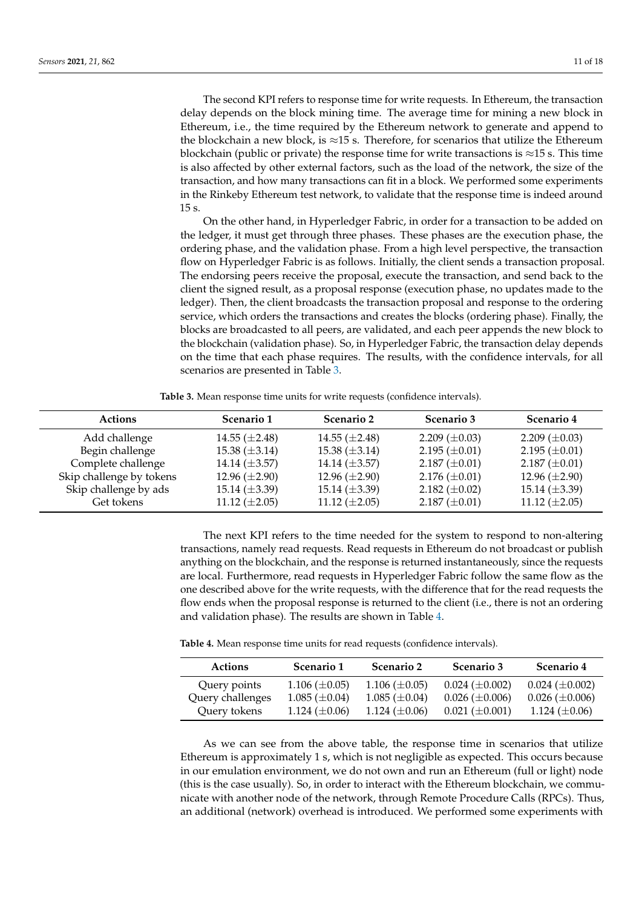The second KPI refers to response time for write requests. In Ethereum, the transaction delay depends on the block mining time. The average time for mining a new block in Ethereum, i.e., the time required by the Ethereum network to generate and append to the blockchain a new block, is  $\approx$ 15 s. Therefore, for scenarios that utilize the Ethereum blockchain (public or private) the response time for write transactions is  $\approx$ 15 s. This time is also affected by other external factors, such as the load of the network, the size of the transaction, and how many transactions can fit in a block. We performed some experiments in the Rinkeby Ethereum test network, to validate that the response time is indeed around 15 s.

On the other hand, in Hyperledger Fabric, in order for a transaction to be added on the ledger, it must get through three phases. These phases are the execution phase, the ordering phase, and the validation phase. From a high level perspective, the transaction flow on Hyperledger Fabric is as follows. Initially, the client sends a transaction proposal. The endorsing peers receive the proposal, execute the transaction, and send back to the client the signed result, as a proposal response (execution phase, no updates made to the ledger). Then, the client broadcasts the transaction proposal and response to the ordering service, which orders the transactions and creates the blocks (ordering phase). Finally, the blocks are broadcasted to all peers, are validated, and each peer appends the new block to the blockchain (validation phase). So, in Hyperledger Fabric, the transaction delay depends on the time that each phase requires. The results, with the confidence intervals, for all scenarios are presented in Table [3.](#page-10-0)

**Table 3.** Mean response time units for write requests (confidence intervals).

<span id="page-10-0"></span>

| Actions                  | Scenario 1           | Scenario 2         | <b>Scenario 3</b>    | Scenario 4           |
|--------------------------|----------------------|--------------------|----------------------|----------------------|
| Add challenge            | 14.55 $(\pm 2.48)$   | 14.55 $(\pm 2.48)$ | 2.209 $(\pm 0.03)$   | 2.209 $(\pm 0.03)$   |
| Begin challenge          | $15.38 \ (\pm 3.14)$ | 15.38 $(\pm 3.14)$ | 2.195 $(\pm 0.01)$   | 2.195 $(\pm 0.01)$   |
| Complete challenge       | 14.14 $(\pm 3.57)$   | 14.14 $(\pm 3.57)$ | $2.187 \ (\pm 0.01)$ | $2.187 \ (\pm 0.01)$ |
| Skip challenge by tokens | 12.96 $(\pm 2.90)$   | 12.96 $(\pm 2.90)$ | $2.176 \ (\pm 0.01)$ | 12.96 $(\pm 2.90)$   |
| Skip challenge by ads    | $15.14 \ (\pm 3.39)$ | 15.14 $(\pm 3.39)$ | 2.182 $(\pm 0.02)$   | 15.14 $(\pm 3.39)$   |
| Get tokens               | 11.12 $(\pm 2.05)$   | 11.12 $(\pm 2.05)$ | $2.187 \ (\pm 0.01)$ | 11.12 $(\pm 2.05)$   |

The next KPI refers to the time needed for the system to respond to non-altering transactions, namely read requests. Read requests in Ethereum do not broadcast or publish anything on the blockchain, and the response is returned instantaneously, since the requests are local. Furthermore, read requests in Hyperledger Fabric follow the same flow as the one described above for the write requests, with the difference that for the read requests the flow ends when the proposal response is returned to the client (i.e., there is not an ordering and validation phase). The results are shown in Table [4.](#page-10-1)

<span id="page-10-1"></span>

| Table 4. Mean response time units for read requests (confidence intervals). |  |  |
|-----------------------------------------------------------------------------|--|--|
|-----------------------------------------------------------------------------|--|--|

| <b>Actions</b>   | Scenario 1           | Scenario 2           | Scenario 3            | Scenario 4            |
|------------------|----------------------|----------------------|-----------------------|-----------------------|
| Query points     | $1.106 \ (\pm 0.05)$ | 1.106 $(\pm 0.05)$   | $0.024 \ (\pm 0.002)$ | $0.024 \ (\pm 0.002)$ |
| Query challenges | $1.085 \ (\pm 0.04)$ | $1.085 \ (\pm 0.04)$ | $0.026 \ (\pm 0.006)$ | $0.026 \ (\pm 0.006)$ |
| Query tokens     | 1.124 $(\pm 0.06)$   | 1.124 $(\pm 0.06)$   | $0.021 \ (\pm 0.001)$ | 1.124 $(\pm 0.06)$    |

As we can see from the above table, the response time in scenarios that utilize Ethereum is approximately 1 s, which is not negligible as expected. This occurs because in our emulation environment, we do not own and run an Ethereum (full or light) node (this is the case usually). So, in order to interact with the Ethereum blockchain, we communicate with another node of the network, through Remote Procedure Calls (RPCs). Thus, an additional (network) overhead is introduced. We performed some experiments with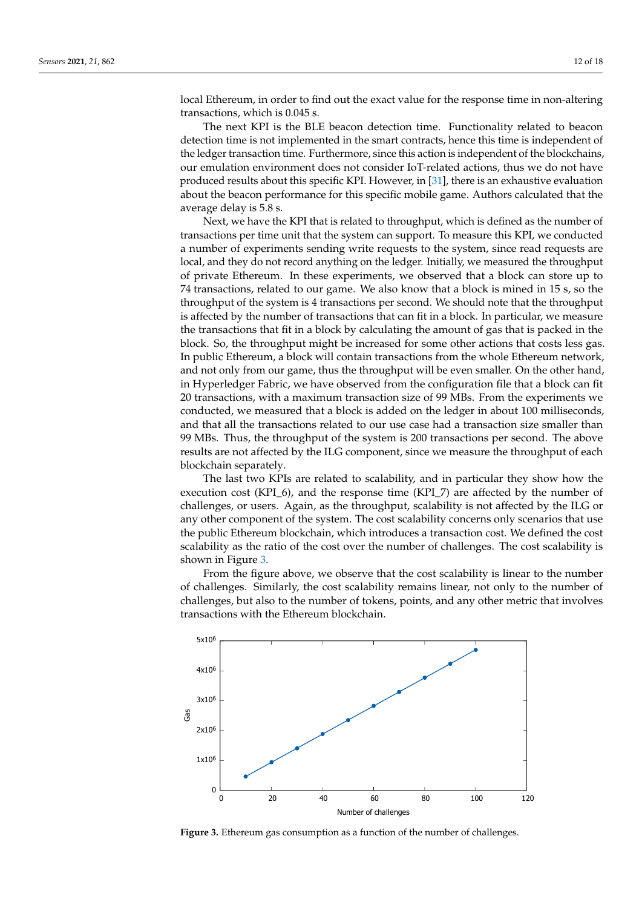local Ethereum, in order to find out the exact value for the response time in non-altering transactions, which is 0.045 s.

The next KPI is the BLE beacon detection time. Functionality related to beacon detection time is not implemented in the smart contracts, hence this time is independent of the ledger transaction time. Furthermore, since this action is independent of the blockchains, our emulation environment does not consider IoT-related actions, thus we do not have produced results about this specific KPI. However, in [\[31\]](#page-17-11), there is an exhaustive evaluation about the beacon performance for this specific mobile game. Authors calculated that the average delay is 5.8 s.

Next, we have the KPI that is related to throughput, which is defined as the number of transactions per time unit that the system can support. To measure this KPI, we conducted a number of experiments sending write requests to the system, since read requests are local, and they do not record anything on the ledger. Initially, we measured the throughput of private Ethereum. In these experiments, we observed that a block can store up to 74 transactions, related to our game. We also know that a block is mined in 15 s, so the throughput of the system is 4 transactions per second. We should note that the throughput is affected by the number of transactions that can fit in a block. In particular, we measure the transactions that fit in a block by calculating the amount of gas that is packed in the block. So, the throughput might be increased for some other actions that costs less gas. In public Ethereum, a block will contain transactions from the whole Ethereum network, and not only from our game, thus the throughput will be even smaller. On the other hand, in Hyperledger Fabric, we have observed from the configuration file that a block can fit 20 transactions, with a maximum transaction size of 99 MBs. From the experiments we conducted, we measured that a block is added on the ledger in about 100 milliseconds, and that all the transactions related to our use case had a transaction size smaller than 99 MBs. Thus, the throughput of the system is 200 transactions per second. The above results are not affected by the ILG component, since we measure the throughput of each blockchain separately.

The last two KPIs are related to scalability, and in particular they show how the execution cost (KPI\_6), and the response time (KPI\_7) are affected by the number of challenges, or users. Again, as the throughput, scalability is not affected by the ILG or any other component of the system. The cost scalability concerns only scenarios that use the public Ethereum blockchain, which introduces a transaction cost. We defined the cost scalability as the ratio of the cost over the number of challenges. The cost scalability is shown in Figure [3.](#page-11-0)

From the figure above, we observe that the cost scalability is linear to the number of challenges. Similarly, the cost scalability remains linear, not only to the number of challenges, but also to the number of tokens, points, and any other metric that involves transactions with the Ethereum blockchain.

<span id="page-11-0"></span>

**Figure 3.** Ethereum gas consumption as a function of the number of challenges.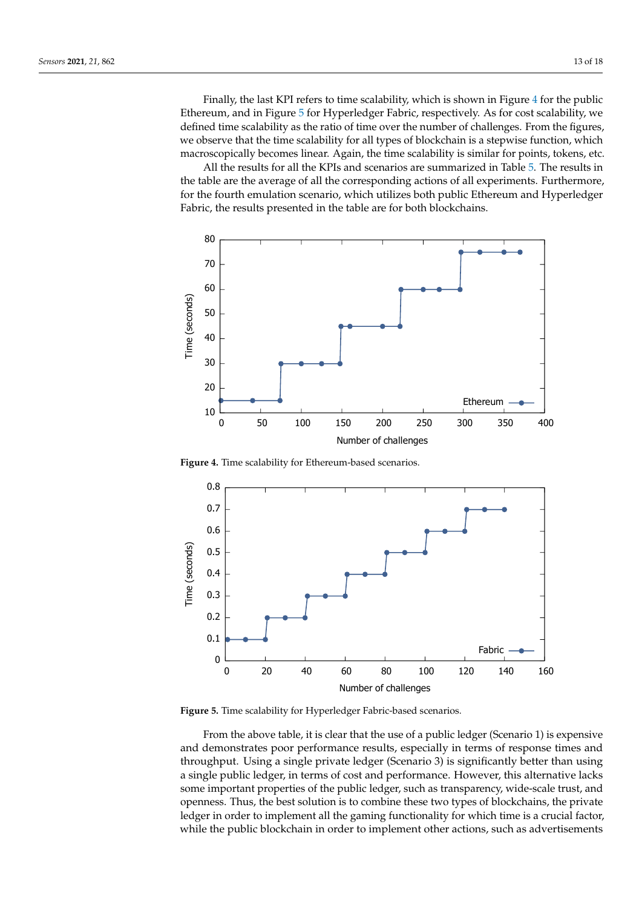Finally, the last KPI refers to time scalability, which is shown in Figure [4](#page-12-0) for the public Ethereum, and in Figure [5](#page-12-1) for Hyperledger Fabric, respectively. As for cost scalability, we defined time scalability as the ratio of time over the number of challenges. From the figures, we observe that the time scalability for all types of blockchain is a stepwise function, which macroscopically becomes linear. Again, the time scalability is similar for points, tokens, etc.

All the results for all the KPIs and scenarios are summarized in Table [5.](#page-13-1) The results in the table are the average of all the corresponding actions of all experiments. Furthermore, for the fourth emulation scenario, which utilizes both public Ethereum and Hyperledger Fabric, the results presented in the table are for both blockchains.

<span id="page-12-0"></span>

**Figure 4.** Time scalability for Ethereum-based scenarios.

<span id="page-12-1"></span>

**Figure 5.** Time scalability for Hyperledger Fabric-based scenarios.

From the above table, it is clear that the use of a public ledger (Scenario 1) is expensive and demonstrates poor performance results, especially in terms of response times and throughput. Using a single private ledger (Scenario 3) is significantly better than using a single public ledger, in terms of cost and performance. However, this alternative lacks some important properties of the public ledger, such as transparency, wide-scale trust, and openness. Thus, the best solution is to combine these two types of blockchains, the private ledger in order to implement all the gaming functionality for which time is a crucial factor, while the public blockchain in order to implement other actions, such as advertisements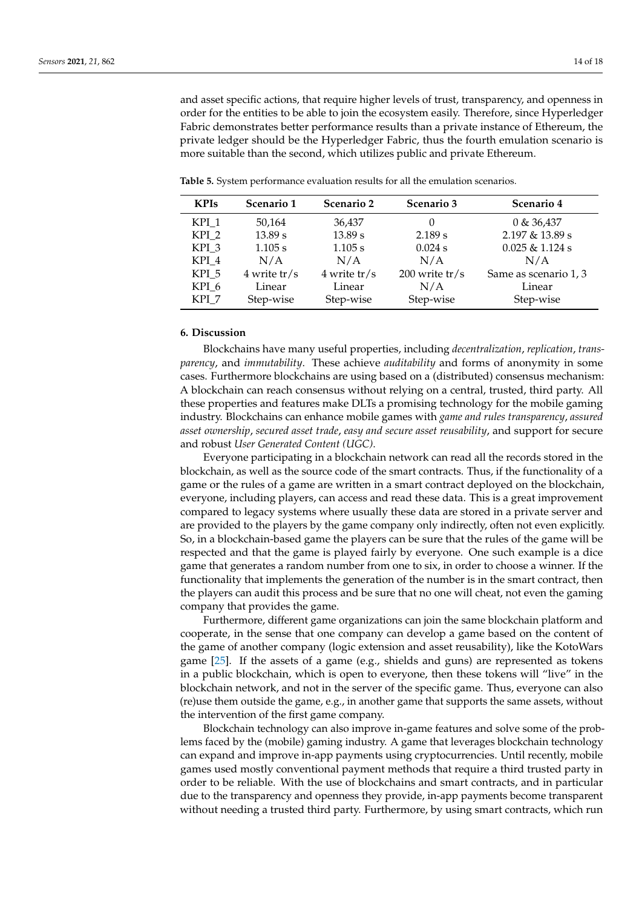and asset specific actions, that require higher levels of trust, transparency, and openness in order for the entities to be able to join the ecosystem easily. Therefore, since Hyperledger Fabric demonstrates better performance results than a private instance of Ethereum, the private ledger should be the Hyperledger Fabric, thus the fourth emulation scenario is more suitable than the second, which utilizes public and private Ethereum.

| <b>KPIs</b>      | Scenario 1     | Scenario 2     | Scenario 3       | Scenario 4            |
|------------------|----------------|----------------|------------------|-----------------------|
| KPI 1            | 50,164         | 36,437         | $\theta$         | 0 & 36,437            |
| KPI <sub>2</sub> | 13.89 s        | 13.89 s        | 2.189 s          | 2.197 & 13.89 s       |
| KPI 3            | 1.105 s        | 1.105 s        | $0.024$ s        | $0.025 \& 1.124 s$    |
| KPI 4            | N/A            | N/A            | N/A              | N/A                   |
| KPI 5            | $4$ write tr/s | $4$ write tr/s | $200$ write tr/s | Same as scenario 1, 3 |
| KPI 6            | Linear         | Linear         | N/A              | Linear                |
| KPI 7            | Step-wise      | Step-wise      | Step-wise        | Step-wise             |

<span id="page-13-1"></span>**Table 5.** System performance evaluation results for all the emulation scenarios.

#### <span id="page-13-0"></span>**6. Discussion**

Blockchains have many useful properties, including *decentralization*, *replication*, *transparency*, and *immutability*. These achieve *auditability* and forms of anonymity in some cases. Furthermore blockchains are using based on a (distributed) consensus mechanism: A blockchain can reach consensus without relying on a central, trusted, third party. All these properties and features make DLTs a promising technology for the mobile gaming industry. Blockchains can enhance mobile games with *game and rules transparency*, *assured asset ownership*, *secured asset trade*, *easy and secure asset reusability*, and support for secure and robust *User Generated Content (UGC)*.

Everyone participating in a blockchain network can read all the records stored in the blockchain, as well as the source code of the smart contracts. Thus, if the functionality of a game or the rules of a game are written in a smart contract deployed on the blockchain, everyone, including players, can access and read these data. This is a great improvement compared to legacy systems where usually these data are stored in a private server and are provided to the players by the game company only indirectly, often not even explicitly. So, in a blockchain-based game the players can be sure that the rules of the game will be respected and that the game is played fairly by everyone. One such example is a dice game that generates a random number from one to six, in order to choose a winner. If the functionality that implements the generation of the number is in the smart contract, then the players can audit this process and be sure that no one will cheat, not even the gaming company that provides the game.

Furthermore, different game organizations can join the same blockchain platform and cooperate, in the sense that one company can develop a game based on the content of the game of another company (logic extension and asset reusability), like the KotoWars game [\[25\]](#page-17-5). If the assets of a game (e.g., shields and guns) are represented as tokens in a public blockchain, which is open to everyone, then these tokens will "live" in the blockchain network, and not in the server of the specific game. Thus, everyone can also (re)use them outside the game, e.g., in another game that supports the same assets, without the intervention of the first game company.

Blockchain technology can also improve in-game features and solve some of the problems faced by the (mobile) gaming industry. A game that leverages blockchain technology can expand and improve in-app payments using cryptocurrencies. Until recently, mobile games used mostly conventional payment methods that require a third trusted party in order to be reliable. With the use of blockchains and smart contracts, and in particular due to the transparency and openness they provide, in-app payments become transparent without needing a trusted third party. Furthermore, by using smart contracts, which run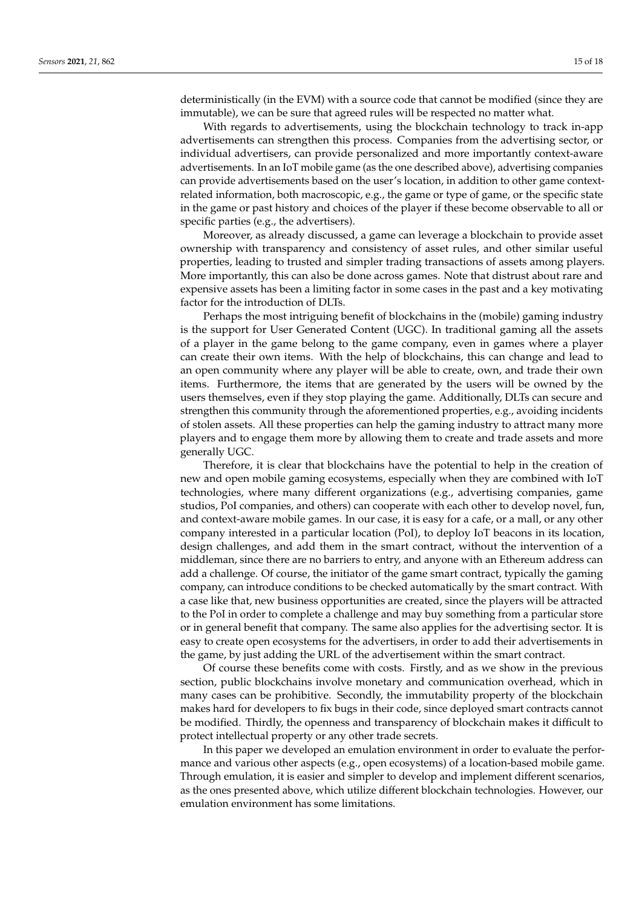deterministically (in the EVM) with a source code that cannot be modified (since they are immutable), we can be sure that agreed rules will be respected no matter what.

With regards to advertisements, using the blockchain technology to track in-app advertisements can strengthen this process. Companies from the advertising sector, or individual advertisers, can provide personalized and more importantly context-aware advertisements. In an IoT mobile game (as the one described above), advertising companies can provide advertisements based on the user's location, in addition to other game contextrelated information, both macroscopic, e.g., the game or type of game, or the specific state in the game or past history and choices of the player if these become observable to all or specific parties (e.g., the advertisers).

Moreover, as already discussed, a game can leverage a blockchain to provide asset ownership with transparency and consistency of asset rules, and other similar useful properties, leading to trusted and simpler trading transactions of assets among players. More importantly, this can also be done across games. Note that distrust about rare and expensive assets has been a limiting factor in some cases in the past and a key motivating factor for the introduction of DLTs.

Perhaps the most intriguing benefit of blockchains in the (mobile) gaming industry is the support for User Generated Content (UGC). In traditional gaming all the assets of a player in the game belong to the game company, even in games where a player can create their own items. With the help of blockchains, this can change and lead to an open community where any player will be able to create, own, and trade their own items. Furthermore, the items that are generated by the users will be owned by the users themselves, even if they stop playing the game. Additionally, DLTs can secure and strengthen this community through the aforementioned properties, e.g., avoiding incidents of stolen assets. All these properties can help the gaming industry to attract many more players and to engage them more by allowing them to create and trade assets and more generally UGC.

Therefore, it is clear that blockchains have the potential to help in the creation of new and open mobile gaming ecosystems, especially when they are combined with IoT technologies, where many different organizations (e.g., advertising companies, game studios, PoI companies, and others) can cooperate with each other to develop novel, fun, and context-aware mobile games. In our case, it is easy for a cafe, or a mall, or any other company interested in a particular location (PoI), to deploy IoT beacons in its location, design challenges, and add them in the smart contract, without the intervention of a middleman, since there are no barriers to entry, and anyone with an Ethereum address can add a challenge. Of course, the initiator of the game smart contract, typically the gaming company, can introduce conditions to be checked automatically by the smart contract. With a case like that, new business opportunities are created, since the players will be attracted to the PoI in order to complete a challenge and may buy something from a particular store or in general benefit that company. The same also applies for the advertising sector. It is easy to create open ecosystems for the advertisers, in order to add their advertisements in the game, by just adding the URL of the advertisement within the smart contract.

Of course these benefits come with costs. Firstly, and as we show in the previous section, public blockchains involve monetary and communication overhead, which in many cases can be prohibitive. Secondly, the immutability property of the blockchain makes hard for developers to fix bugs in their code, since deployed smart contracts cannot be modified. Thirdly, the openness and transparency of blockchain makes it difficult to protect intellectual property or any other trade secrets.

In this paper we developed an emulation environment in order to evaluate the performance and various other aspects (e.g., open ecosystems) of a location-based mobile game. Through emulation, it is easier and simpler to develop and implement different scenarios, as the ones presented above, which utilize different blockchain technologies. However, our emulation environment has some limitations.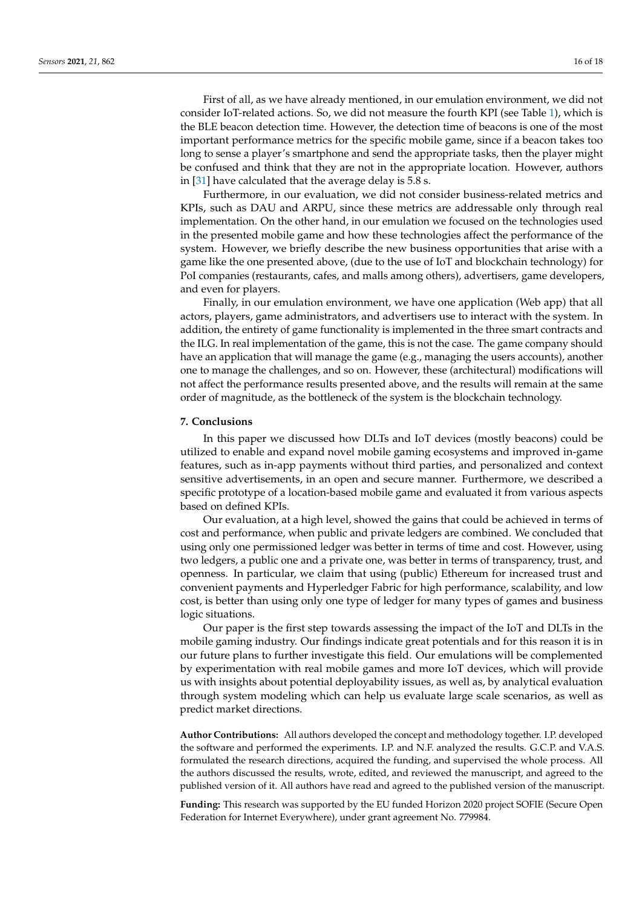First of all, as we have already mentioned, in our emulation environment, we did not consider IoT-related actions. So, we did not measure the fourth KPI (see Table [1\)](#page-8-1), which is the BLE beacon detection time. However, the detection time of beacons is one of the most important performance metrics for the specific mobile game, since if a beacon takes too long to sense a player's smartphone and send the appropriate tasks, then the player might be confused and think that they are not in the appropriate location. However, authors in [\[31\]](#page-17-11) have calculated that the average delay is 5.8 s.

Furthermore, in our evaluation, we did not consider business-related metrics and KPIs, such as DAU and ARPU, since these metrics are addressable only through real implementation. On the other hand, in our emulation we focused on the technologies used in the presented mobile game and how these technologies affect the performance of the system. However, we briefly describe the new business opportunities that arise with a game like the one presented above, (due to the use of IoT and blockchain technology) for PoI companies (restaurants, cafes, and malls among others), advertisers, game developers, and even for players.

Finally, in our emulation environment, we have one application (Web app) that all actors, players, game administrators, and advertisers use to interact with the system. In addition, the entirety of game functionality is implemented in the three smart contracts and the ILG. In real implementation of the game, this is not the case. The game company should have an application that will manage the game (e.g., managing the users accounts), another one to manage the challenges, and so on. However, these (architectural) modifications will not affect the performance results presented above, and the results will remain at the same order of magnitude, as the bottleneck of the system is the blockchain technology.

# <span id="page-15-0"></span>**7. Conclusions**

In this paper we discussed how DLTs and IoT devices (mostly beacons) could be utilized to enable and expand novel mobile gaming ecosystems and improved in-game features, such as in-app payments without third parties, and personalized and context sensitive advertisements, in an open and secure manner. Furthermore, we described a specific prototype of a location-based mobile game and evaluated it from various aspects based on defined KPIs.

Our evaluation, at a high level, showed the gains that could be achieved in terms of cost and performance, when public and private ledgers are combined. We concluded that using only one permissioned ledger was better in terms of time and cost. However, using two ledgers, a public one and a private one, was better in terms of transparency, trust, and openness. In particular, we claim that using (public) Ethereum for increased trust and convenient payments and Hyperledger Fabric for high performance, scalability, and low cost, is better than using only one type of ledger for many types of games and business logic situations.

Our paper is the first step towards assessing the impact of the IoT and DLTs in the mobile gaming industry. Our findings indicate great potentials and for this reason it is in our future plans to further investigate this field. Our emulations will be complemented by experimentation with real mobile games and more IoT devices, which will provide us with insights about potential deployability issues, as well as, by analytical evaluation through system modeling which can help us evaluate large scale scenarios, as well as predict market directions.

**Author Contributions:** All authors developed the concept and methodology together. I.P. developed the software and performed the experiments. I.P. and N.F. analyzed the results. G.C.P. and V.A.S. formulated the research directions, acquired the funding, and supervised the whole process. All the authors discussed the results, wrote, edited, and reviewed the manuscript, and agreed to the published version of it. All authors have read and agreed to the published version of the manuscript.

**Funding:** This research was supported by the EU funded Horizon 2020 project SOFIE (Secure Open Federation for Internet Everywhere), under grant agreement No. 779984.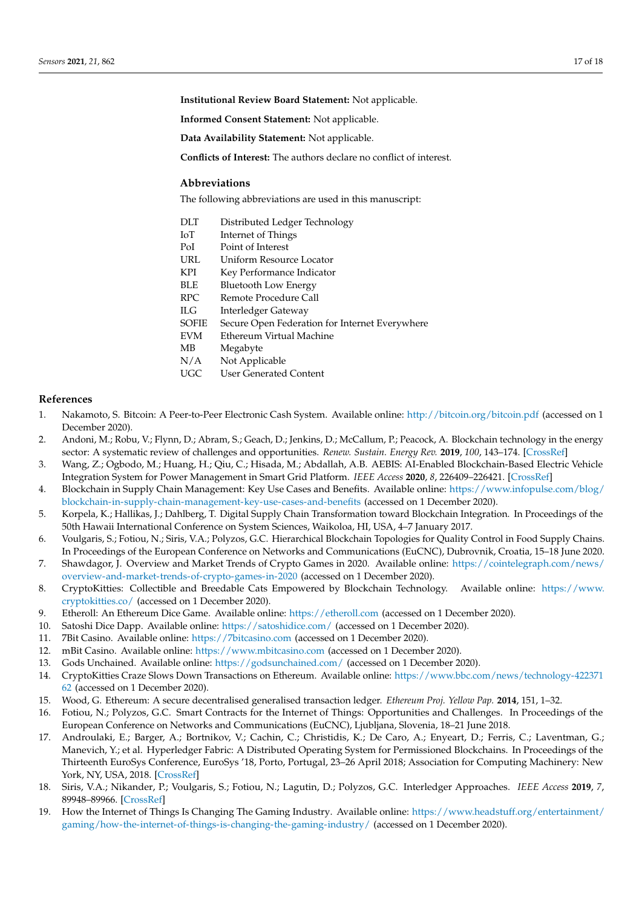**Institutional Review Board Statement:** Not applicable.

**Informed Consent Statement:** Not applicable.

**Data Availability Statement:** Not applicable.

**Conflicts of Interest:** The authors declare no conflict of interest.

## **Abbreviations**

The following abbreviations are used in this manuscript:

- DLT Distributed Ledger Technology
- IoT Internet of Things
- PoI Point of Interest
- URL Uniform Resource Locator
- KPI Key Performance Indicator
- BLE Bluetooth Low Energy
- RPC Remote Procedure Call
- ILG Interledger Gateway
- SOFIE Secure Open Federation for Internet Everywhere
- EVM Ethereum Virtual Machine
- MB Megabyte
- N/A Not Applicable<br>UGC User Generated
- User Generated Content

# **References**

- <span id="page-16-0"></span>1. Nakamoto, S. Bitcoin: A Peer-to-Peer Electronic Cash System. Available online: <http://bitcoin.org/bitcoin.pdf> (accessed on 1 December 2020).
- <span id="page-16-1"></span>2. Andoni, M.; Robu, V.; Flynn, D.; Abram, S.; Geach, D.; Jenkins, D.; McCallum, P.; Peacock, A. Blockchain technology in the energy sector: A systematic review of challenges and opportunities. *Renew. Sustain. Energy Rev.* **2019**, *100*, 143–174. [\[CrossRef\]](http://dx.doi.org/10.1016/j.rser.2018.10.014)
- <span id="page-16-2"></span>3. Wang, Z.; Ogbodo, M.; Huang, H.; Qiu, C.; Hisada, M.; Abdallah, A.B. AEBIS: AI-Enabled Blockchain-Based Electric Vehicle Integration System for Power Management in Smart Grid Platform. *IEEE Access* **2020**, *8*, 226409–226421. [\[CrossRef\]](http://dx.doi.org/10.1109/ACCESS.2020.3044612)
- <span id="page-16-3"></span>4. Blockchain in Supply Chain Management: Key Use Cases and Benefits. Available online: [https://www.infopulse.com/blog/](https://www.infopulse.com/blog/blockchain-in-supply-chain-management-key-use-cases-and-benefits) [blockchain-in-supply-chain-management-key-use-cases-and-benefits](https://www.infopulse.com/blog/blockchain-in-supply-chain-management-key-use-cases-and-benefits) (accessed on 1 December 2020).
- <span id="page-16-4"></span>5. Korpela, K.; Hallikas, J.; Dahlberg, T. Digital Supply Chain Transformation toward Blockchain Integration. In Proceedings of the 50th Hawaii International Conference on System Sciences, Waikoloa, HI, USA, 4–7 January 2017.
- <span id="page-16-5"></span>6. Voulgaris, S.; Fotiou, N.; Siris, V.A.; Polyzos, G.C. Hierarchical Blockchain Topologies for Quality Control in Food Supply Chains. In Proceedings of the European Conference on Networks and Communications (EuCNC), Dubrovnik, Croatia, 15–18 June 2020.
- <span id="page-16-6"></span>7. Shawdagor, J. Overview and Market Trends of Crypto Games in 2020. Available online: [https://cointelegraph.com/news/](https://cointelegraph.com/news/overview-and-market-trends-of-crypto-games-in-2020) [overview-and-market-trends-of-crypto-games-in-2020](https://cointelegraph.com/news/overview-and-market-trends-of-crypto-games-in-2020) (accessed on 1 December 2020).
- <span id="page-16-7"></span>8. CryptoKitties: Collectible and Breedable Cats Empowered by Blockchain Technology. Available online: [https://www.](https://www.cryptokitties.co/) [cryptokitties.co/](https://www.cryptokitties.co/) (accessed on 1 December 2020).
- <span id="page-16-8"></span>9. Etheroll: An Ethereum Dice Game. Available online: <https://etheroll.com> (accessed on 1 December 2020).
- <span id="page-16-9"></span>10. Satoshi Dice Dapp. Available online: <https://satoshidice.com/> (accessed on 1 December 2020).
- <span id="page-16-10"></span>11. 7Bit Casino. Available online: <https://7bitcasino.com> (accessed on 1 December 2020).
- <span id="page-16-11"></span>12. mBit Casino. Available online: <https://www.mbitcasino.com> (accessed on 1 December 2020).
- <span id="page-16-12"></span>13. Gods Unchained. Available online: <https://godsunchained.com/> (accessed on 1 December 2020).
- <span id="page-16-13"></span>14. CryptoKitties Craze Slows Down Transactions on Ethereum. Available online: [https://www.bbc.com/news/technology-422371](https://www.bbc.com/news/technology-42237162) [62](https://www.bbc.com/news/technology-42237162) (accessed on 1 December 2020).
- <span id="page-16-14"></span>15. Wood, G. Ethereum: A secure decentralised generalised transaction ledger. *Ethereum Proj. Yellow Pap.* **2014**, 151, 1–32.
- <span id="page-16-15"></span>16. Fotiou, N.; Polyzos, G.C. Smart Contracts for the Internet of Things: Opportunities and Challenges. In Proceedings of the European Conference on Networks and Communications (EuCNC), Ljubljana, Slovenia, 18–21 June 2018.
- <span id="page-16-16"></span>17. Androulaki, E.; Barger, A.; Bortnikov, V.; Cachin, C.; Christidis, K.; De Caro, A.; Enyeart, D.; Ferris, C.; Laventman, G.; Manevich, Y.; et al. Hyperledger Fabric: A Distributed Operating System for Permissioned Blockchains. In Proceedings of the Thirteenth EuroSys Conference, EuroSys '18, Porto, Portugal, 23–26 April 2018; Association for Computing Machinery: New York, NY, USA, 2018. [\[CrossRef\]](http://dx.doi.org/10.1145/3190508.3190538)
- <span id="page-16-17"></span>18. Siris, V.A.; Nikander, P.; Voulgaris, S.; Fotiou, N.; Lagutin, D.; Polyzos, G.C. Interledger Approaches. *IEEE Access* **2019**, *7*, 89948–89966. [\[CrossRef\]](http://dx.doi.org/10.1109/ACCESS.2019.2926880)
- <span id="page-16-18"></span>19. How the Internet of Things Is Changing The Gaming Industry. Available online: [https://www.headstuff.org/entertainment/](https://www.headstuff.org/entertainment/gaming/how-the-internet-of-things-is-changing-the-gaming-industry/) [gaming/how-the-internet-of-things-is-changing-the-gaming-industry/](https://www.headstuff.org/entertainment/gaming/how-the-internet-of-things-is-changing-the-gaming-industry/) (accessed on 1 December 2020).